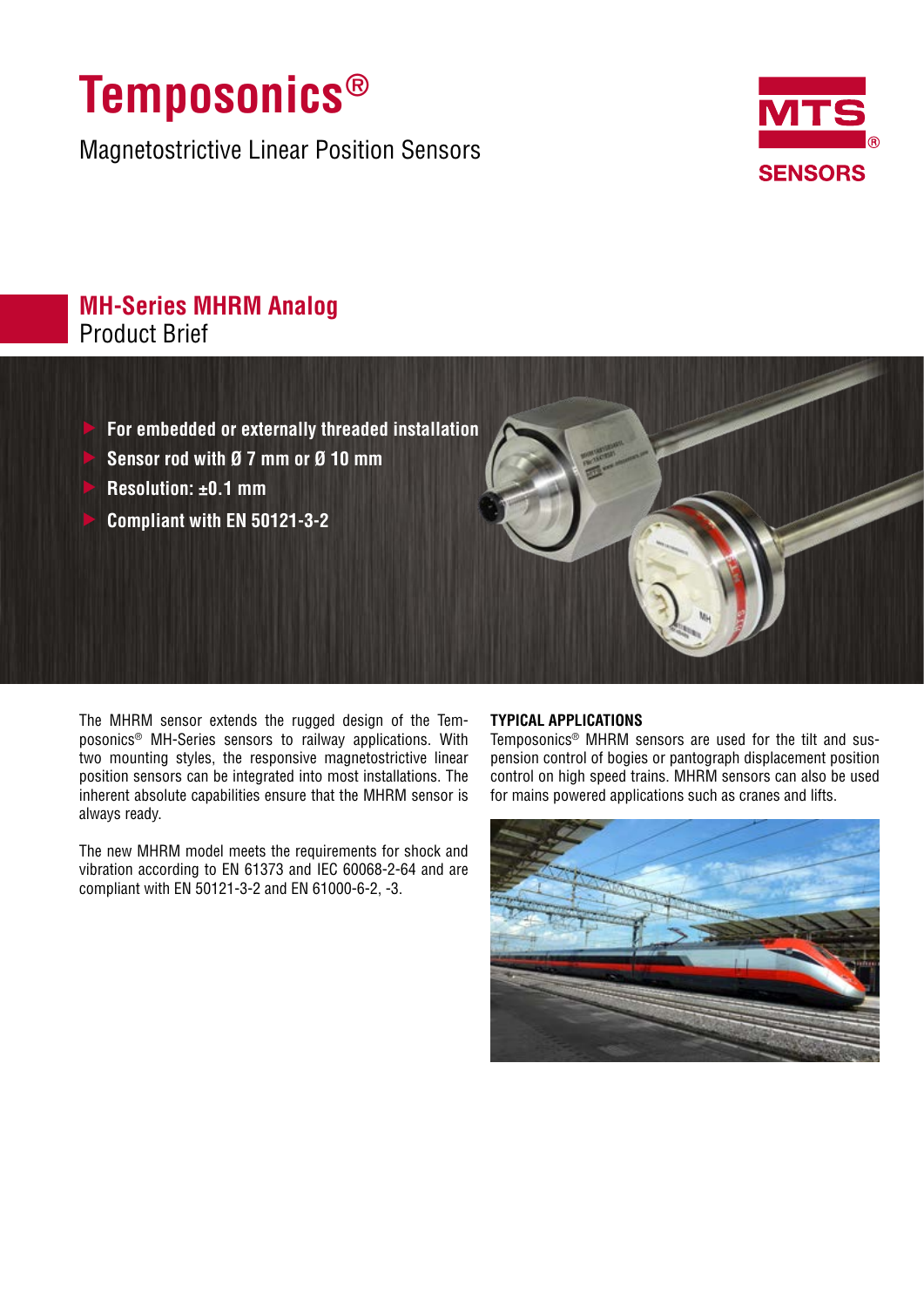# **Temposonics®**

Magnetostrictive Linear Position Sensors



# **MH-Series MHRM Analog** Product Brief

- f **For embedded or externally threaded installation**
- f **Sensor rod with Ø 7 mm or Ø 10 mm**
- f **Resolution: ±0.1 mm**
- f **Compliant with EN 50121-3-2**

The MHRM sensor extends the rugged design of the Temposonics® MH-Series sensors to railway applications. With two mounting styles, the responsive magnetostrictive linear position sensors can be integrated into most installations. The inherent absolute capabilities ensure that the MHRM sensor is always ready.

The new MHRM model meets the requirements for shock and vibration according to EN 61373 and IEC 60068-2-64 and are compliant with EN 50121-3-2 and EN 61000-6-2, -3.

## **TYPICAL APPLICATIONS**

Temposonics® MHRM sensors are used for the tilt and suspension control of bogies or pantograph displacement position control on high speed trains. MHRM sensors can also be used for mains powered applications such as cranes and lifts.